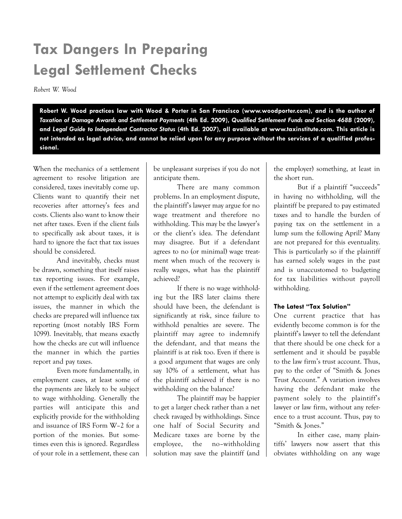# Tax Dangers In Preparing Legal Settlement Checks

Robert W. Wood

Robert W. Wood practices law with Wood & Porter in San Francisco (www.woodporter.com), and is the author of Taxation of Damage Awards and Settlement Payments (4th Ed. 2009), Qualified Settlement Funds and Section 468B (2009), and Legal Guide to Independent Contractor Status (4th Ed. 2007), all available at www.taxinstitute.com. This article is not intended as legal advice, and cannot be relied upon for any purpose without the services of a qualified professional.

When the mechanics of a settlement agreement to resolve litigation are considered, taxes inevitably come up. Clients want to quantify their net recoveries after attorney's fees and costs. Clients also want to know their net after taxes. Even if the client fails to specifically ask about taxes, it is hard to ignore the fact that tax issues should be considered.

And inevitably, checks must be drawn, something that itself raises tax reporting issues. For example, even if the settlement agreement does not attempt to explicitly deal with tax issues, the manner in which the checks are prepared will influence tax reporting (most notably IRS Form 1099). Inevitably, that means exactly how the checks are cut will influence the manner in which the parties report and pay taxes.

Even more fundamentally, in employment cases, at least some of the payments are likely to be subject to wage withholding. Generally the parties will anticipate this and explicitly provide for the withholding and issuance of IRS Form W–2 for a portion of the monies. But sometimes even this is ignored. Regardless of your role in a settlement, these can

be unpleasant surprises if you do not anticipate them.

There are many common problems. In an employment dispute, the plaintiff's lawyer may argue for no wage treatment and therefore no withholding. This may be the lawyer's or the client's idea. The defendant may disagree. But if a defendant agrees to no (or minimal) wage treatment when much of the recovery is really wages, what has the plaintiff achieved?

If there is no wage withholding but the IRS later claims there should have been, the defendant is significantly at risk, since failure to withhold penalties are severe. The plaintiff may agree to indemnify the defendant, and that means the plaintiff is at risk too. Even if there is a good argument that wages are only say 10% of a settlement, what has the plaintiff achieved if there is no withholding on the balance?

The plaintiff may be happier to get a larger check rather than a net check ravaged by withholdings. Since one half of Social Security and Medicare taxes are borne by the employee, the no–withholding solution may save the plaintiff (and

the employer) something, at least in the short run.

But if a plaintiff "succeeds" in having no withholding, will the plaintiff be prepared to pay estimated taxes and to handle the burden of paying tax on the settlement in a lump sum the following April? Many are not prepared for this eventuality. This is particularly so if the plaintiff has earned solely wages in the past and is unaccustomed to budgeting for tax liabilities without payroll withholding.

# The Latest "Tax Solution"

One current practice that has evidently become common is for the plaintiff's lawyer to tell the defendant that there should be one check for a settlement and it should be payable to the law firm's trust account. Thus, pay to the order of "Smith & Jones Trust Account." A variation involves having the defendant make the payment solely to the plaintiff's lawyer or law firm, without any reference to a trust account. Thus, pay to "Smith & Jones."

In either case, many plaintiffs' lawyers now assert that this obviates withholding on any wage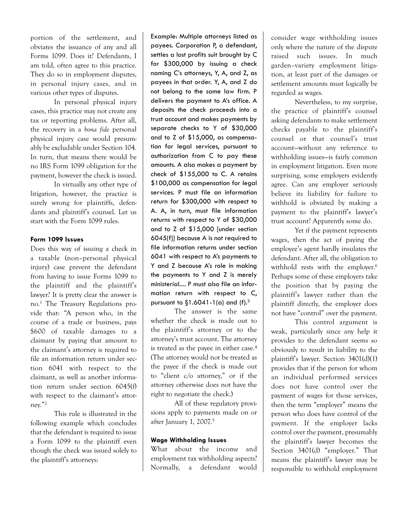portion of the settlement, and obviates the issuance of any and all Forms 1099. Does it? Defendants, I am told, often agree to this practice. They do so in employment disputes, in personal injury cases, and in various other types of disputes.

In personal physical injury cases, this practice may not create any tax or reporting problems. After all, the recovery in a bona fide personal physical injury case would presumably be excludable under Section 104. In turn, that means there would be no IRS Form 1099 obligation for the payment, however the check is issued.

In virtually any other type of litigation, however, the practice is surely wrong for plaintiffs, defendants and plaintiff's counsel. Let us start with the Form 1099 rules.

# Form 1099 Issues

Does this way of issuing a check in a taxable (non–personal physical injury) case prevent the defendant from having to issue Forms 1099 to the plaintiff and the plaintiff's lawyer? It is pretty clear the answer is no.<sup>1</sup> The Treasury Regulations provide that: "A person who, in the course of a trade or business, pays \$600 of taxable damages to a claimant by paying that amount to the claimant's attorney is required to file an information return under section 6041 with respect to the claimant, as well as another information return under section 6045(f) with respect to the claimant's attorney."<sup>2</sup>

This rule is illustrated in the following example which concludes that the defendant is required to issue a Form 1099 to the plaintiff even though the check was issued solely to the plaintiff's attorneys:

Example: Multiple attorneys listed as payees. Corporation P, a defendant, settles a lost profits suit brought by C for \$300,000 by issuing a check naming C's attorneys, Y, A, and Z, as payees in that order. Y, A, and Z do not belong to the same law firm. P delivers the payment to A's office. A deposits the check proceeds into a trust account and makes payments by separate checks to Y of \$30,000 and to Z of \$15,000, as compensation for legal services, pursuant to authorization from C to pay these amounts. A also makes a payment by check of \$155,000 to C. A retains \$100,000 as compensation for legal services. P must file an information return for \$300,000 with respect to A. A, in turn, must file information returns with respect to Y of \$30,000 and to Z of \$15,000 [under section 6045(f)] because A is not required to file information returns under section 6041 with respect to A's payments to Y and Z because A's role in making the payments to Y and Z is merely ministerial.... P must also file an information return with respect to C, pursuant to  $\S1.6041 - 1$  (a) and (f).<sup>3</sup>

The answer is the same whether the check is made out to the plaintiff's attorney or to the attorney's trust account. The attorney is treated as the payee in either case.<sup>4</sup> (The attorney would not be treated as the payee if the check is made out to "client c/o attorney," or if the attorney otherwise does not have the right to negotiate the check.)

All of these regulatory provisions apply to payments made on or after January 1, 2007.<sup>5</sup>

### Wage Withholding Issues

What about the income and employment tax withholding aspects? Normally, a defendant would

consider wage withholding issues only where the nature of the dispute raised such issues. In much garden–variety employment litigation, at least part of the damages or settlement amounts must logically be regarded as wages.

Nevertheless, to my surprise, the practice of plaintiff's counsel asking defendants to make settlement checks payable to the plaintiff's counsel or that counsel's trust account—without any reference to withholding issues—is fairly common in employment litigation. Even more surprising, some employers evidently agree. Can any employer seriously believe its liability for failure to withhold is obviated by making a payment to the plaintiff's lawyer's trust account? Apparently some do.

Yet if the payment represents wages, then the act of paying the employee's agent hardly insulates the defendant. After all, the obligation to withhold rests with the employer. 6 Perhaps some of these employers take the position that by paying the plaintiff's lawyer rather than the plaintiff directly, the employer does not have "control" over the payment.

This control argument is weak, particularly since any help it provides to the defendant seems so obviously to result in liability to the plaintiff's lawyer. Section 3401(d)(1) provides that if the person for whom an individual performed services does not have control over the payment of wages for those services, then the term "employer" means the person who does have control of the payment. If the employer lacks control over the payment, presumably the plaintiff's lawyer becomes the Section 3401(d) "employer." That means the plaintiff's lawyer may be responsible to withhold employment